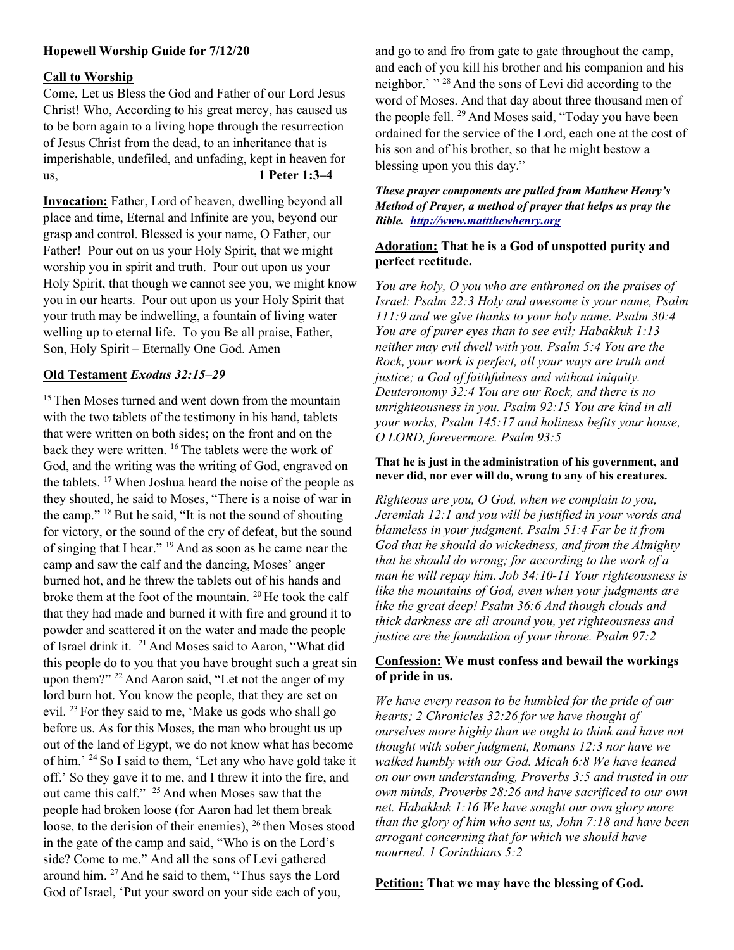# Hopewell Worship Guide for 7/12/20

#### Call to Worship

Come, Let us Bless the God and Father of our Lord Jesus Christ! Who, According to his great mercy, has caused us to be born again to a living hope through the resurrection of Jesus Christ from the dead, to an inheritance that is imperishable, undefiled, and unfading, kept in heaven for us, 1 Peter 1:3–4

Invocation: Father, Lord of heaven, dwelling beyond all place and time, Eternal and Infinite are you, beyond our grasp and control. Blessed is your name, O Father, our Father! Pour out on us your Holy Spirit, that we might worship you in spirit and truth. Pour out upon us your Holy Spirit, that though we cannot see you, we might know you in our hearts. Pour out upon us your Holy Spirit that your truth may be indwelling, a fountain of living water welling up to eternal life. To you Be all praise, Father, Son, Holy Spirit – Eternally One God. Amen

## Old Testament Exodus 32:15–29

<sup>15</sup> Then Moses turned and went down from the mountain with the two tablets of the testimony in his hand, tablets that were written on both sides; on the front and on the back they were written. <sup>16</sup> The tablets were the work of God, and the writing was the writing of God, engraved on the tablets. <sup>17</sup>When Joshua heard the noise of the people as they shouted, he said to Moses, "There is a noise of war in the camp."  $18$  But he said, "It is not the sound of shouting for victory, or the sound of the cry of defeat, but the sound of singing that I hear." <sup>19</sup> And as soon as he came near the camp and saw the calf and the dancing, Moses' anger burned hot, and he threw the tablets out of his hands and broke them at the foot of the mountain. <sup>20</sup>He took the calf that they had made and burned it with fire and ground it to powder and scattered it on the water and made the people of Israel drink it. <sup>21</sup> And Moses said to Aaron, "What did this people do to you that you have brought such a great sin upon them?" <sup>22</sup> And Aaron said, "Let not the anger of my lord burn hot. You know the people, that they are set on evil. <sup>23</sup>For they said to me, 'Make us gods who shall go before us. As for this Moses, the man who brought us up out of the land of Egypt, we do not know what has become of him.' <sup>24</sup>So I said to them, 'Let any who have gold take it off.' So they gave it to me, and I threw it into the fire, and out came this calf." <sup>25</sup> And when Moses saw that the people had broken loose (for Aaron had let them break loose, to the derision of their enemies),  $^{26}$  then Moses stood in the gate of the camp and said, "Who is on the Lord's side? Come to me." And all the sons of Levi gathered around him. <sup>27</sup> And he said to them, "Thus says the Lord God of Israel, 'Put your sword on your side each of you,

and go to and fro from gate to gate throughout the camp, and each of you kill his brother and his companion and his neighbor.' " <sup>28</sup> And the sons of Levi did according to the word of Moses. And that day about three thousand men of the people fell. <sup>29</sup> And Moses said, "Today you have been ordained for the service of the Lord, each one at the cost of his son and of his brother, so that he might bestow a blessing upon you this day."

## These prayer components are pulled from Matthew Henry's Method of Prayer, a method of prayer that helps us pray the Bible. http://www.mattthewhenry.org

## Adoration: That he is a God of unspotted purity and perfect rectitude.

You are holy, O you who are enthroned on the praises of Israel: Psalm 22:3 Holy and awesome is your name, Psalm 111:9 and we give thanks to your holy name. Psalm 30:4 You are of purer eyes than to see evil; Habakkuk 1:13 neither may evil dwell with you. Psalm 5:4 You are the Rock, your work is perfect, all your ways are truth and justice; a God of faithfulness and without iniquity. Deuteronomy 32:4 You are our Rock, and there is no unrighteousness in you. Psalm 92:15 You are kind in all your works, Psalm 145:17 and holiness befits your house, O LORD, forevermore. Psalm 93:5

#### That he is just in the administration of his government, and never did, nor ever will do, wrong to any of his creatures.

Righteous are you, O God, when we complain to you, Jeremiah 12:1 and you will be justified in your words and blameless in your judgment. Psalm 51:4 Far be it from God that he should do wickedness, and from the Almighty that he should do wrong; for according to the work of a man he will repay him. Job 34:10-11 Your righteousness is like the mountains of God, even when your judgments are like the great deep! Psalm 36:6 And though clouds and thick darkness are all around you, yet righteousness and justice are the foundation of your throne. Psalm 97:2

## Confession: We must confess and bewail the workings of pride in us.

We have every reason to be humbled for the pride of our hearts; 2 Chronicles 32:26 for we have thought of ourselves more highly than we ought to think and have not thought with sober judgment, Romans 12:3 nor have we walked humbly with our God. Micah 6:8 We have leaned on our own understanding, Proverbs 3:5 and trusted in our own minds, Proverbs 28:26 and have sacrificed to our own net. Habakkuk 1:16 We have sought our own glory more than the glory of him who sent us, John 7:18 and have been arrogant concerning that for which we should have mourned. 1 Corinthians 5:2

Petition: That we may have the blessing of God.